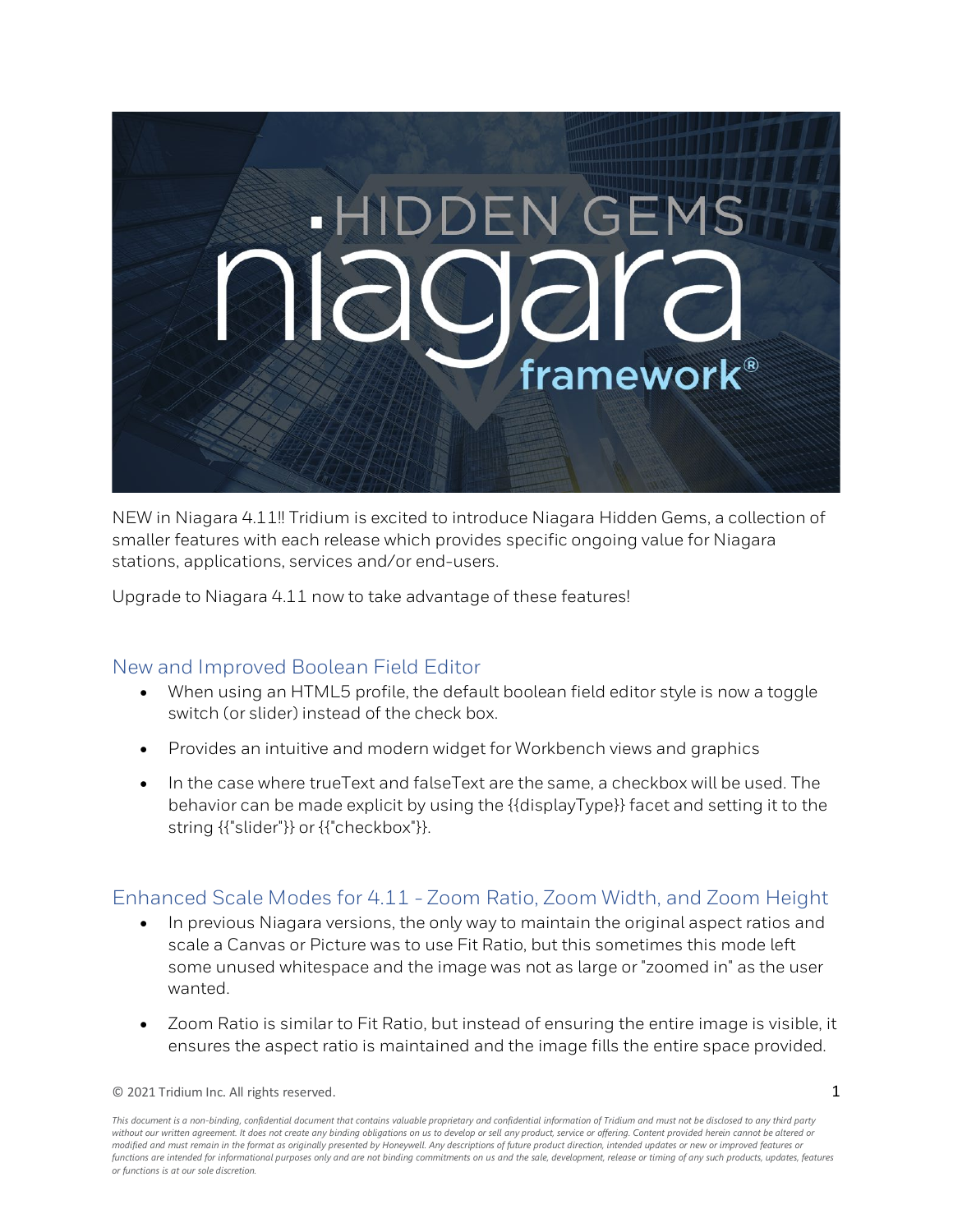

NEW in Niagara 4.11!! Tridium is excited to introduce Niagara Hidden Gems, a collection of smaller features with each release which provides specific ongoing value for Niagara stations, applications, services and/or end-users.

Upgrade to Niagara 4.11 now to take advantage of these features!

#### New and Improved Boolean Field Editor

- When using an HTML5 profile, the default boolean field editor style is now a toggle switch (or slider) instead of the check box.
- Provides an intuitive and modern widget for Workbench views and graphics
- In the case where trueText and falseText are the same, a checkbox will be used. The behavior can be made explicit by using the {{displayType}} facet and setting it to the string {{"slider"}} or {{"checkbox"}}.

## Enhanced Scale Modes for 4.11 - Zoom Ratio, Zoom Width, and Zoom Height

- In previous Niagara versions, the only way to maintain the original aspect ratios and scale a Canvas or Picture was to use Fit Ratio, but this sometimes this mode left some unused whitespace and the image was not as large or "zoomed in" as the user wanted.
- Zoom Ratio is similar to Fit Ratio, but instead of ensuring the entire image is visible, it ensures the aspect ratio is maintained and the image fills the entire space provided.

*This document is a non-binding, confidential document that contains valuable proprietary and confidential information of Tridium and must not be disclosed to any third party*  without our written agreement. It does not create any binding obligations on us to develop or sell any product, service or offering. Content provided herein cannot be altered or *modified and must remain in the format as originally presented by Honeywell. Any descriptions of future product direction, intended updates or new or improved features or functions are intended for informational purposes only and are not binding commitments on us and the sale, development, release or timing of any such products, updates, features or functions is at our sole discretion.*

 $\degree$  2021 Tridium Inc. All rights reserved. 1